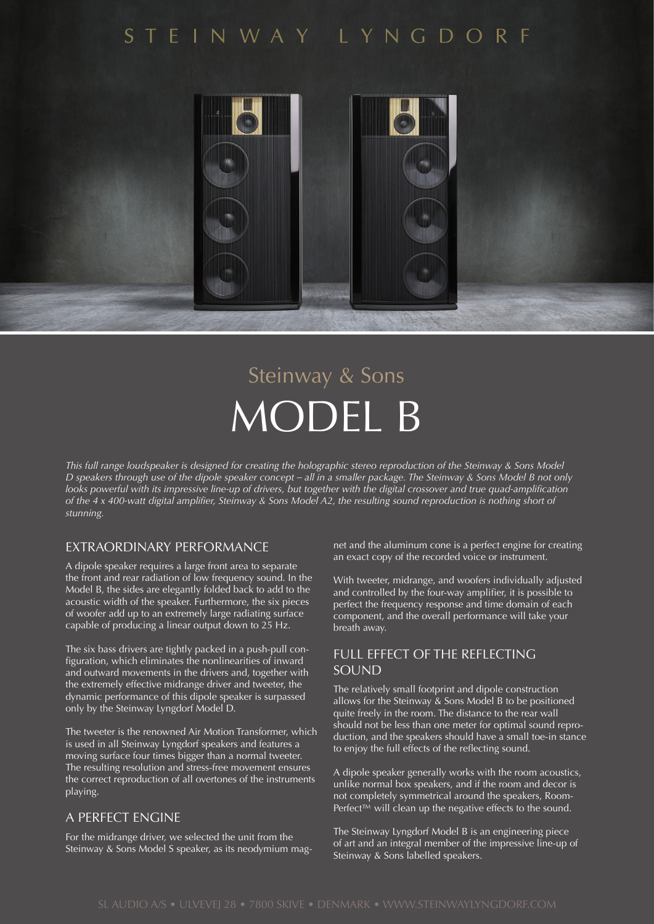# STEINWAY LYNGDORF



# Steinway & Sons MODEL B

*This full range loudspeaker is designed for creating the holographic stereo reproduction of the Steinway & Sons Model D speakers through use of the dipole speaker concept – all in a smaller package. The Steinway & Sons Model B not only looks powerful with its impressive line-up of drivers, but together with the digital crossover and true quad-amplification of the 4 x 400-watt digital amplifier, Steinway & Sons Model A2, the resulting sound reproduction is nothing short of stunning.*

## EXTRAORDINARY PERFORMANCE

A dipole speaker requires a large front area to separate the front and rear radiation of low frequency sound. In the Model B, the sides are elegantly folded back to add to the acoustic width of the speaker. Furthermore, the six pieces of woofer add up to an extremely large radiating surface capable of producing a linear output down to 25 Hz.

The six bass drivers are tightly packed in a push-pull configuration, which eliminates the nonlinearities of inward and outward movements in the drivers and, together with the extremely effective midrange driver and tweeter, the dynamic performance of this dipole speaker is surpassed only by the Steinway Lyngdorf Model D.

The tweeter is the renowned Air Motion Transformer, which is used in all Steinway Lyngdorf speakers and features a moving surface four times bigger than a normal tweeter. The resulting resolution and stress-free movement ensures the correct reproduction of all overtones of the instruments playing.

#### A PERFECT ENGINE

For the midrange driver, we selected the unit from the Steinway & Sons Model S speaker, as its neodymium magnet and the aluminum cone is a perfect engine for creating an exact copy of the recorded voice or instrument.

With tweeter, midrange, and woofers individually adjusted and controlled by the four-way amplifier, it is possible to perfect the frequency response and time domain of each component, and the overall performance will take your breath away.

## FULL EFFECT OF THE REFLECTING SOUND

The relatively small footprint and dipole construction allows for the Steinway & Sons Model B to be positioned quite freely in the room. The distance to the rear wall should not be less than one meter for optimal sound reproduction, and the speakers should have a small toe-in stance to enjoy the full effects of the reflecting sound.

A dipole speaker generally works with the room acoustics, unlike normal box speakers, and if the room and decor is not completely symmetrical around the speakers, Room-Perfect™ will clean up the negative effects to the sound.

The Steinway Lyngdorf Model B is an engineering piece of art and an integral member of the impressive line-up of Steinway & Sons labelled speakers.